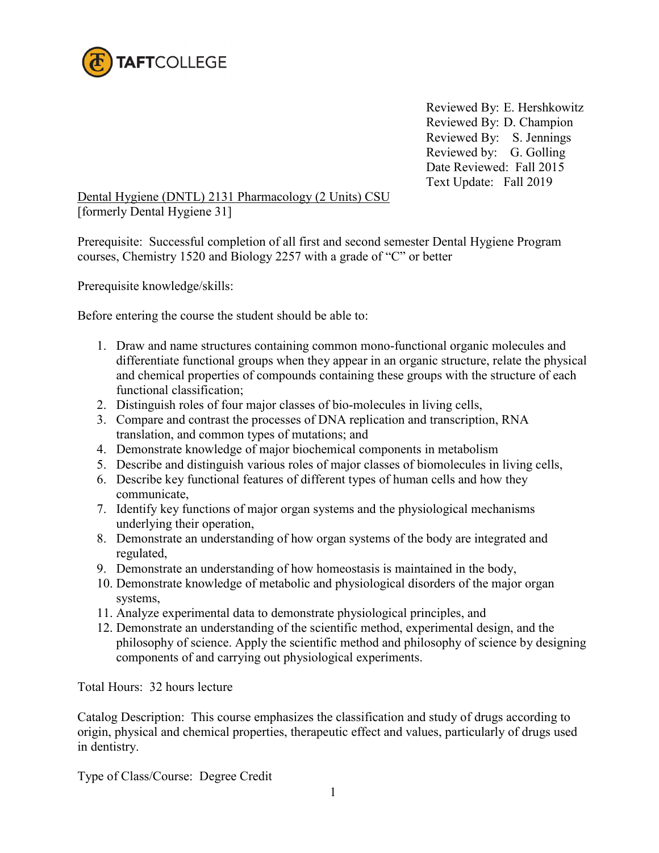

Reviewed By: E. Hershkowitz Reviewed By: D. Champion Reviewed By: S. Jennings Reviewed by: G. Golling Date Reviewed: Fall 2015 Text Update: Fall 2019

Dental Hygiene (DNTL) 2131 Pharmacology (2 Units) CSU [formerly Dental Hygiene 31]

Prerequisite: Successful completion of all first and second semester Dental Hygiene Program courses, Chemistry 1520 and Biology 2257 with a grade of "C" or better

Prerequisite knowledge/skills:

Before entering the course the student should be able to:

- 1. Draw and name structures containing common mono-functional organic molecules and differentiate functional groups when they appear in an organic structure, relate the physical and chemical properties of compounds containing these groups with the structure of each functional classification;
- 2. Distinguish roles of four major classes of bio-molecules in living cells,
- 3. Compare and contrast the processes of DNA replication and transcription, RNA translation, and common types of mutations; and
- 4. Demonstrate knowledge of major biochemical components in metabolism
- 5. Describe and distinguish various roles of major classes of biomolecules in living cells,
- 6. Describe key functional features of different types of human cells and how they communicate,
- 7. Identify key functions of major organ systems and the physiological mechanisms underlying their operation,
- 8. Demonstrate an understanding of how organ systems of the body are integrated and regulated,
- 9. Demonstrate an understanding of how homeostasis is maintained in the body,
- 10. Demonstrate knowledge of metabolic and physiological disorders of the major organ systems,
- 11. Analyze experimental data to demonstrate physiological principles, and
- 12. Demonstrate an understanding of the scientific method, experimental design, and the philosophy of science. Apply the scientific method and philosophy of science by designing components of and carrying out physiological experiments.

Total Hours: 32 hours lecture

Catalog Description: This course emphasizes the classification and study of drugs according to origin, physical and chemical properties, therapeutic effect and values, particularly of drugs used in dentistry.

Type of Class/Course: Degree Credit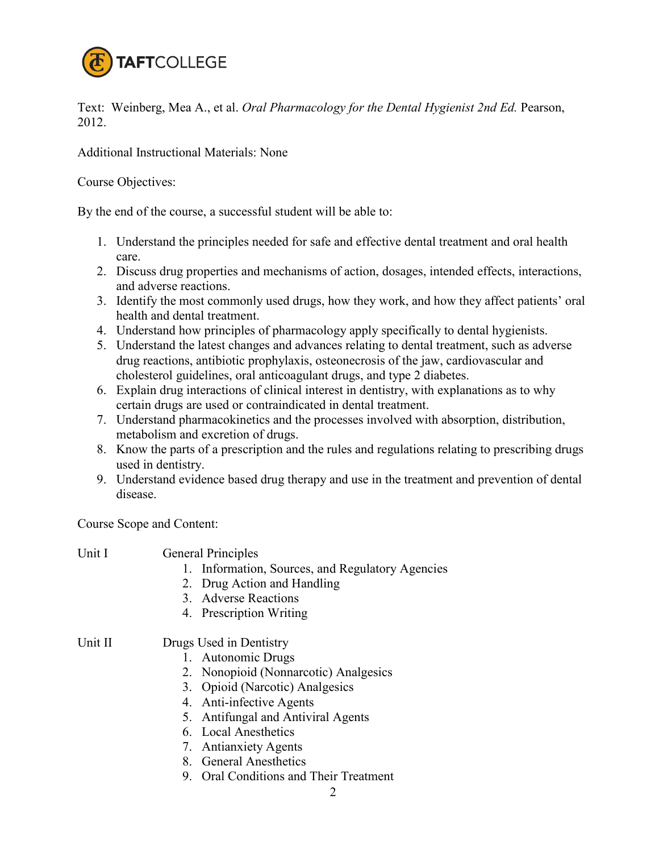

Text: Weinberg, Mea A., et al. *Oral Pharmacology for the Dental Hygienist 2nd Ed.* Pearson, 2012.

Additional Instructional Materials: None

Course Objectives:

By the end of the course, a successful student will be able to:

- 1. Understand the principles needed for safe and effective dental treatment and oral health care.
- 2. Discuss drug properties and mechanisms of action, dosages, intended effects, interactions, and adverse reactions.
- 3. Identify the most commonly used drugs, how they work, and how they affect patients' oral health and dental treatment.
- 4. Understand how principles of pharmacology apply specifically to dental hygienists.
- 5. Understand the latest changes and advances relating to dental treatment, such as adverse drug reactions, antibiotic prophylaxis, osteonecrosis of the jaw, cardiovascular and cholesterol guidelines, oral anticoagulant drugs, and type 2 diabetes.
- 6. Explain drug interactions of clinical interest in dentistry, with explanations as to why certain drugs are used or contraindicated in dental treatment.
- 7. Understand pharmacokinetics and the processes involved with absorption, distribution, metabolism and excretion of drugs.
- 8. Know the parts of a prescription and the rules and regulations relating to prescribing drugs used in dentistry.
- 9. Understand evidence based drug therapy and use in the treatment and prevention of dental disease.

Course Scope and Content:

| Unit I  | <b>General Principles</b>                        |
|---------|--------------------------------------------------|
|         | 1. Information, Sources, and Regulatory Agencies |
|         | 2. Drug Action and Handling                      |
|         | 3. Adverse Reactions                             |
|         | 4. Prescription Writing                          |
| Unit II | Drugs Used in Dentistry                          |
|         | 1. Autonomic Drugs                               |
|         | 2. Nonopioid (Nonnarcotic) Analgesics            |
|         | 3. Opioid (Narcotic) Analgesics                  |
|         | 4. Anti-infective Agents                         |
|         | 5. Antifungal and Antiviral Agents               |
|         | 6. Local Anesthetics                             |
|         | 7. Antianxiety Agents                            |
|         | 8. General Anesthetics                           |

9. Oral Conditions and Their Treatment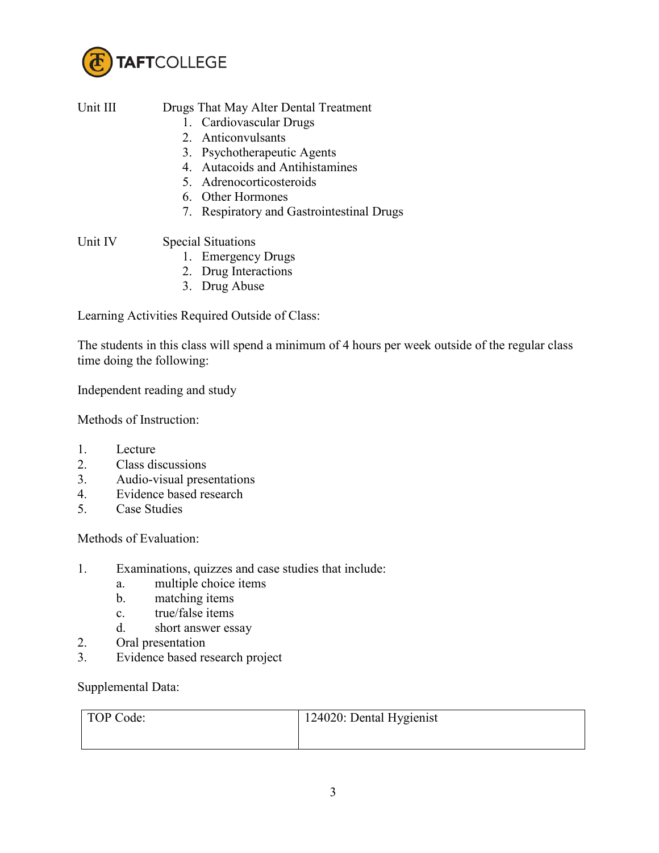

| Unit III | Drugs That May Alter Dental Treatment     |
|----------|-------------------------------------------|
|          |                                           |
|          | 1. Cardiovascular Drugs                   |
|          | 2. Anticonvulsants                        |
|          | 3. Psychotherapeutic Agents               |
|          | 4. Autacoids and Antihistamines           |
|          | 5. Adrenocorticosteroids                  |
|          | 6. Other Hormones                         |
|          | 7. Respiratory and Gastrointestinal Drugs |
| Unit IV  |                                           |
|          | <b>Special Situations</b>                 |
|          | $\blacksquare$                            |

- 1. Emergency Drugs
- 2. Drug Interactions
- 3. Drug Abuse

Learning Activities Required Outside of Class:

The students in this class will spend a minimum of 4 hours per week outside of the regular class time doing the following:

Independent reading and study

Methods of Instruction:

- 1. Lecture
- 2. Class discussions
- 3. Audio-visual presentations
- 4. Evidence based research
- 5. Case Studies

Methods of Evaluation:

- 1. Examinations, quizzes and case studies that include:
	- a. multiple choice items
	- b. matching items
	- c. true/false items
	- d. short answer essay
- 2. Oral presentation
- 3. Evidence based research project

Supplemental Data:

| TOP Code: | 124020: Dental Hygienist |
|-----------|--------------------------|
|           |                          |